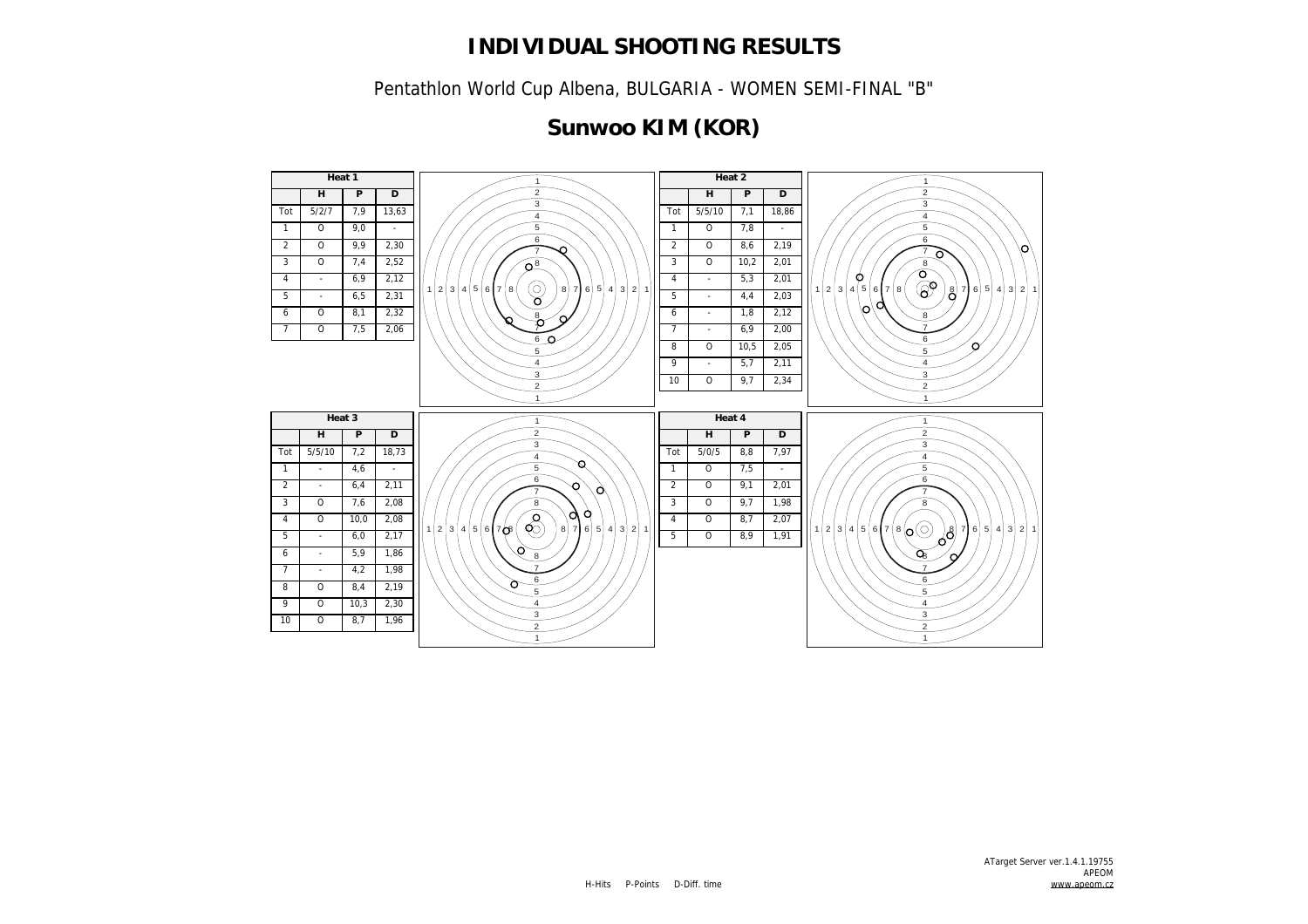Pentathlon World Cup Albena, BULGARIA - WOMEN SEMI-FINAL "B"

# **Sunwoo KIM (KOR)**

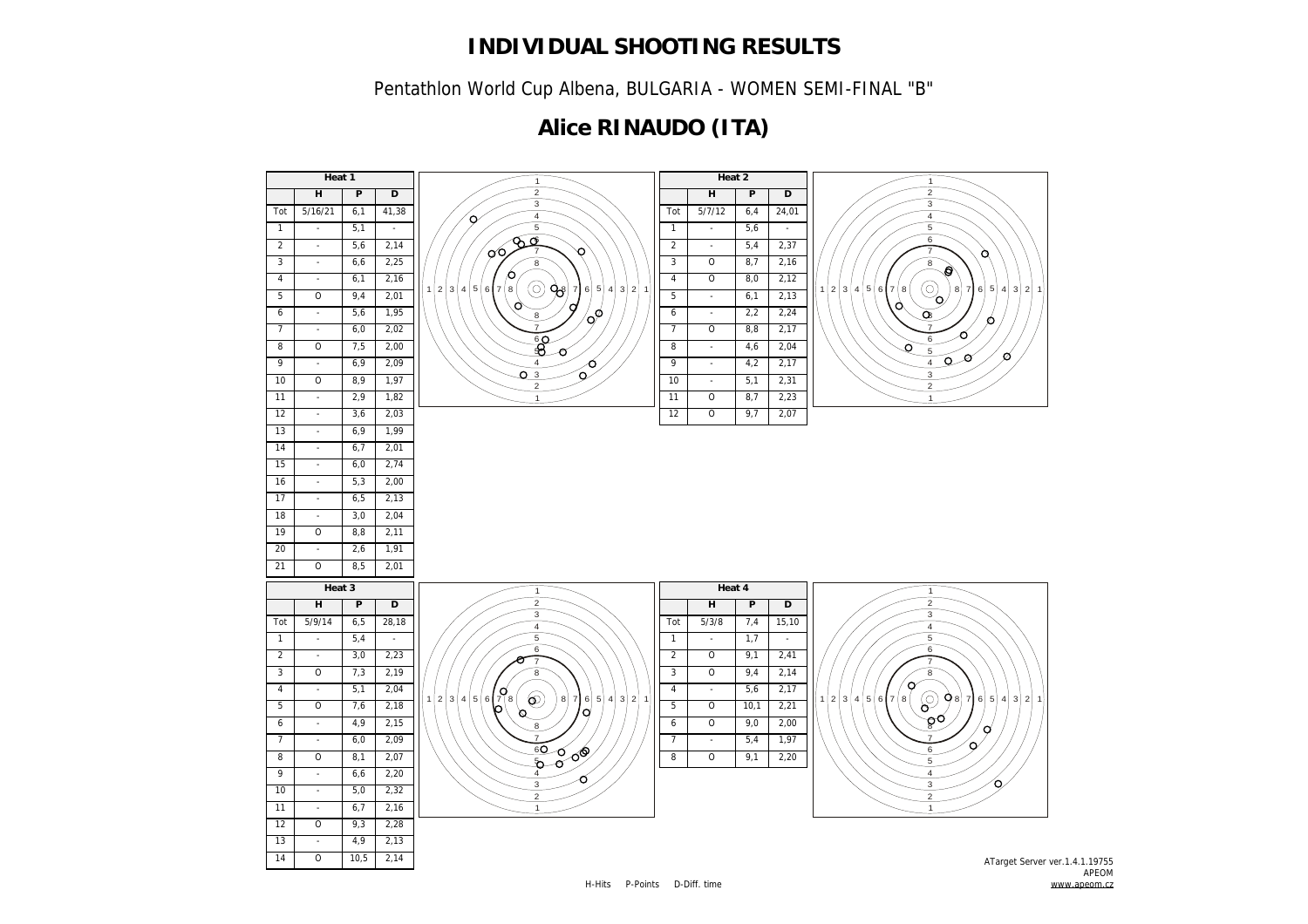Pentathlon World Cup Albena, BULGARIA - WOMEN SEMI-FINAL "B"

# **Alice RINAUDO (ITA)**

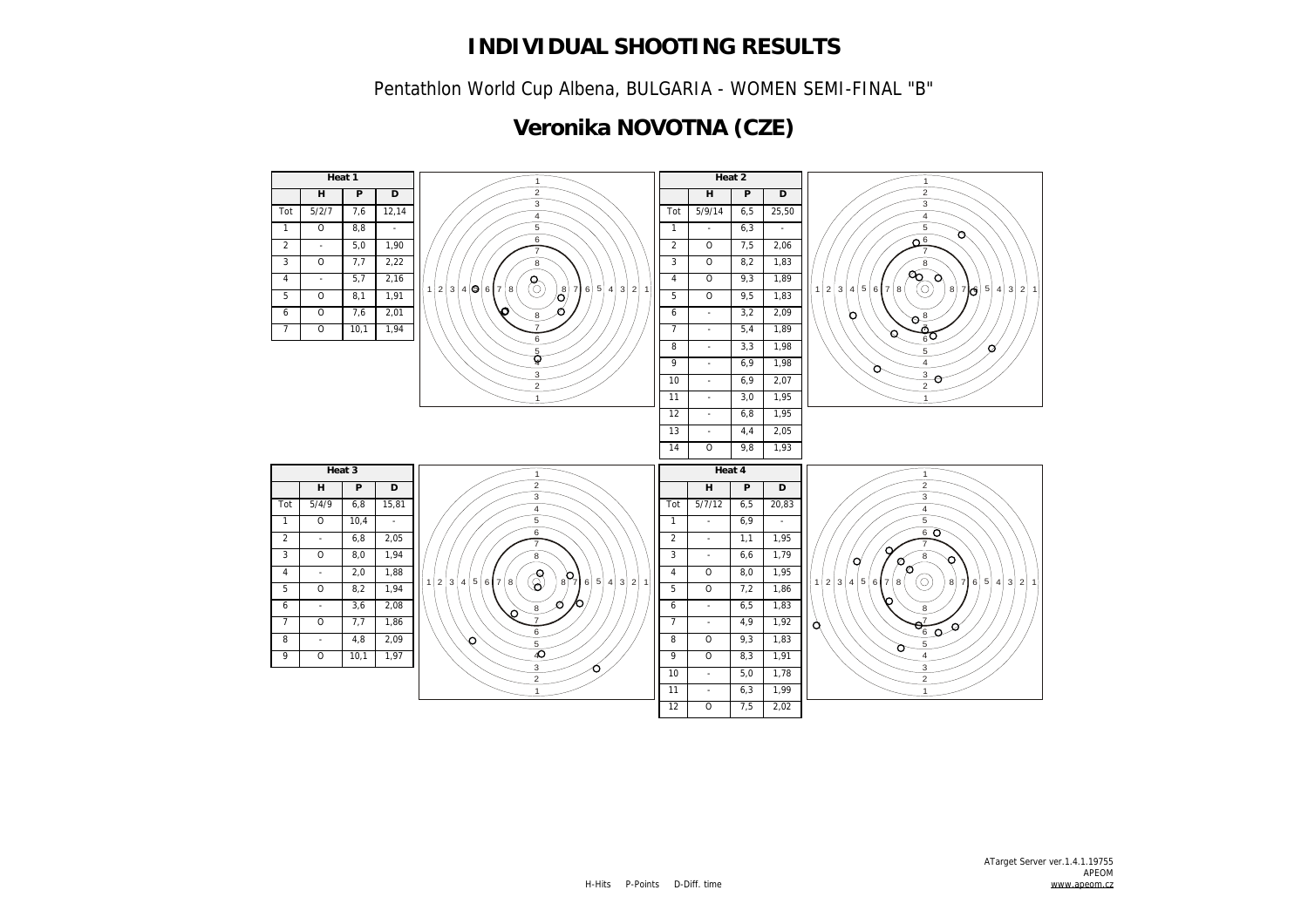Pentathlon World Cup Albena, BULGARIA - WOMEN SEMI-FINAL "B"

# **Veronika NOVOTNA (CZE)**

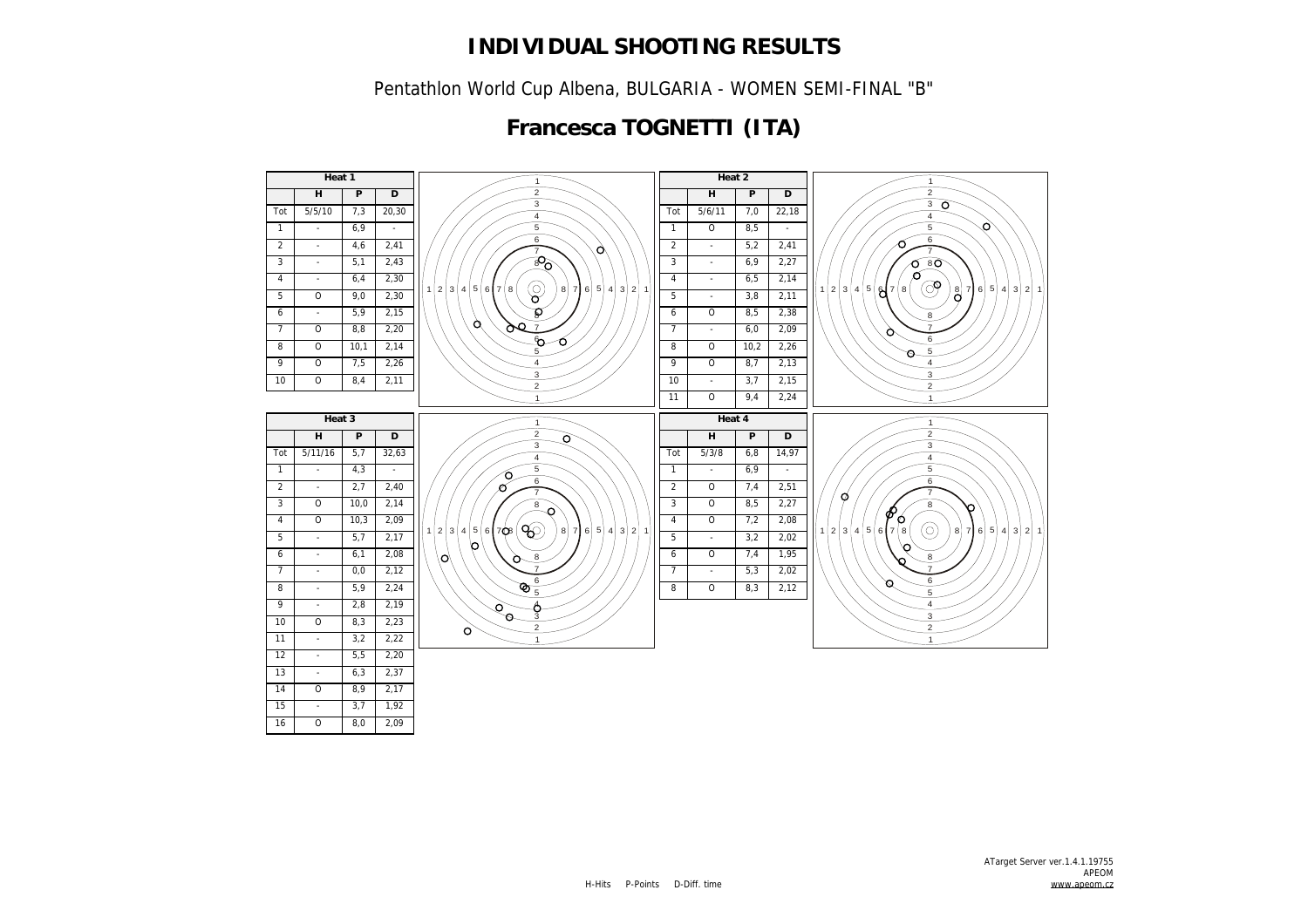Pentathlon World Cup Albena, BULGARIA - WOMEN SEMI-FINAL "B"

# **Francesca TOGNETTI (ITA)**

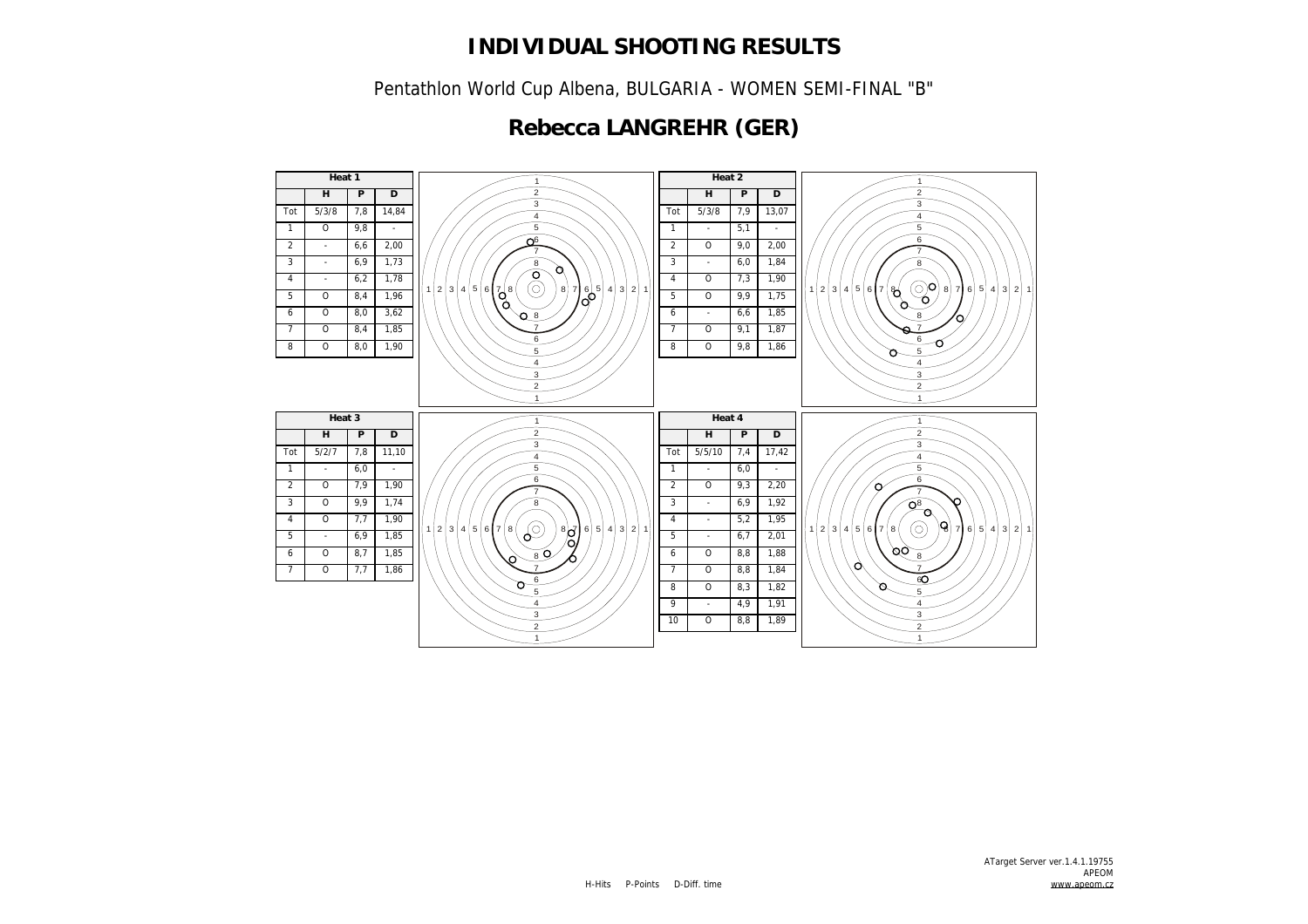Pentathlon World Cup Albena, BULGARIA - WOMEN SEMI-FINAL "B"

# **Rebecca LANGREHR (GER)**

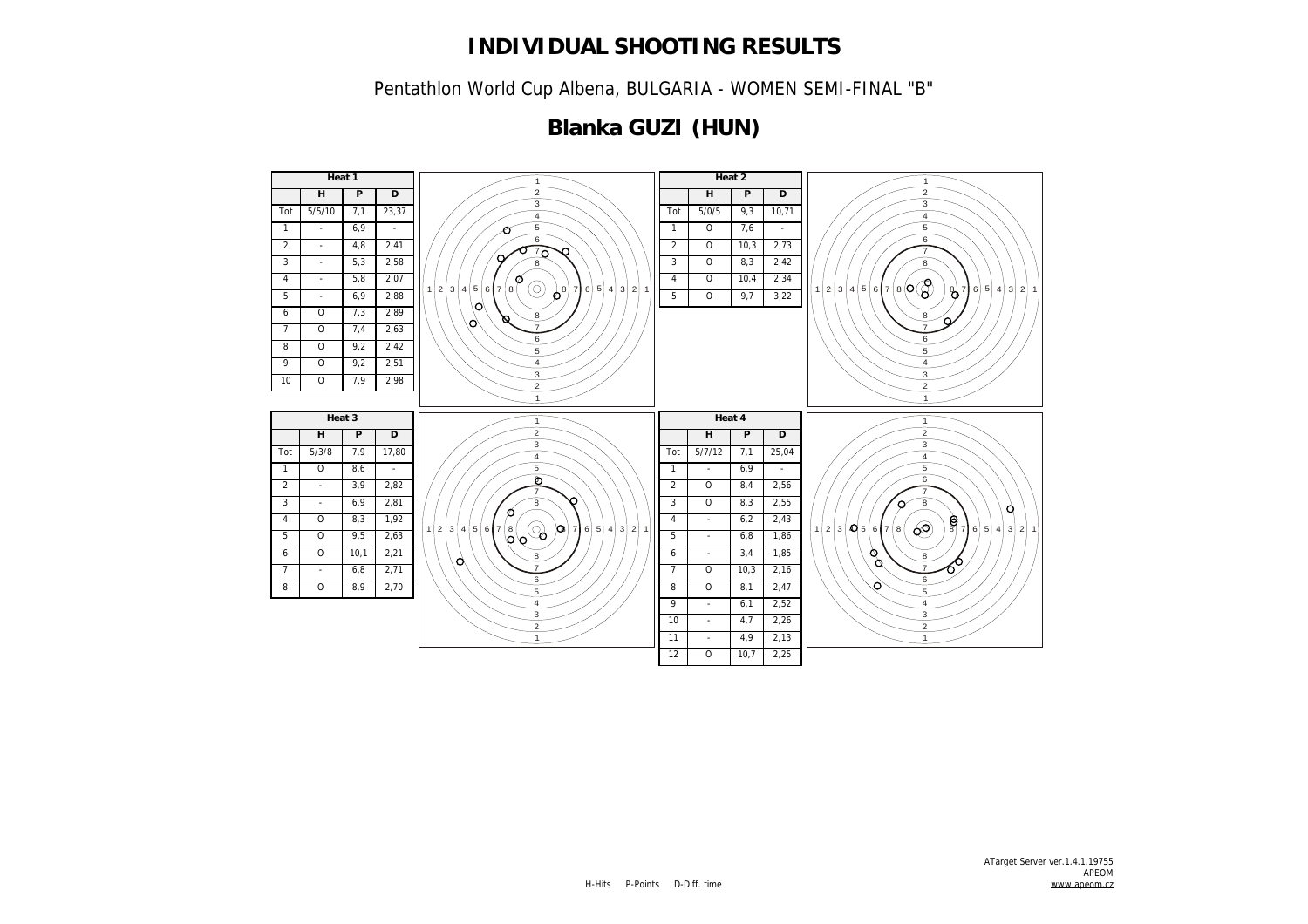Pentathlon World Cup Albena, BULGARIA - WOMEN SEMI-FINAL "B"

# **Blanka GUZI (HUN)**

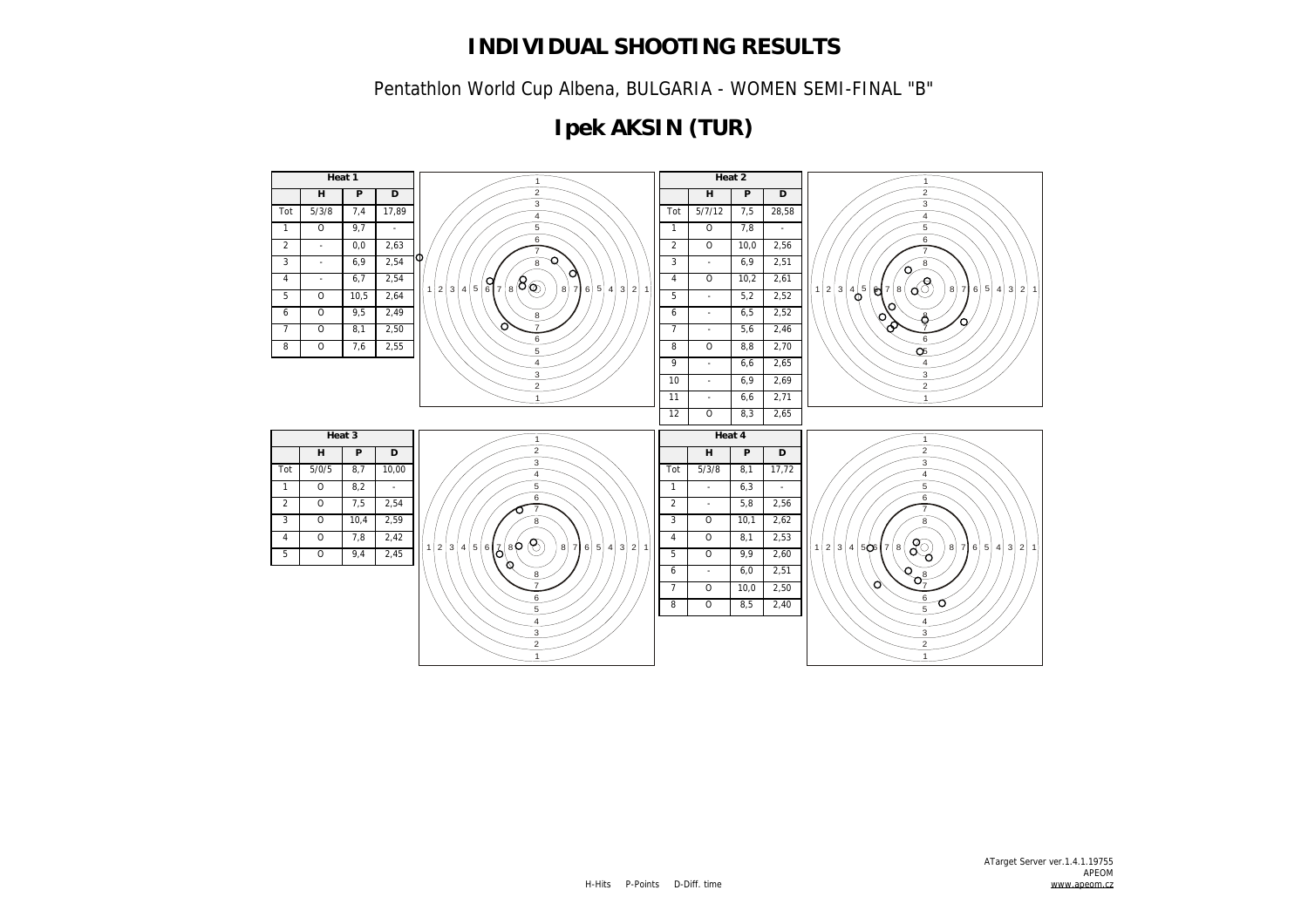Pentathlon World Cup Albena, BULGARIA - WOMEN SEMI-FINAL "B"

# **Ipek AKSIN (TUR)**

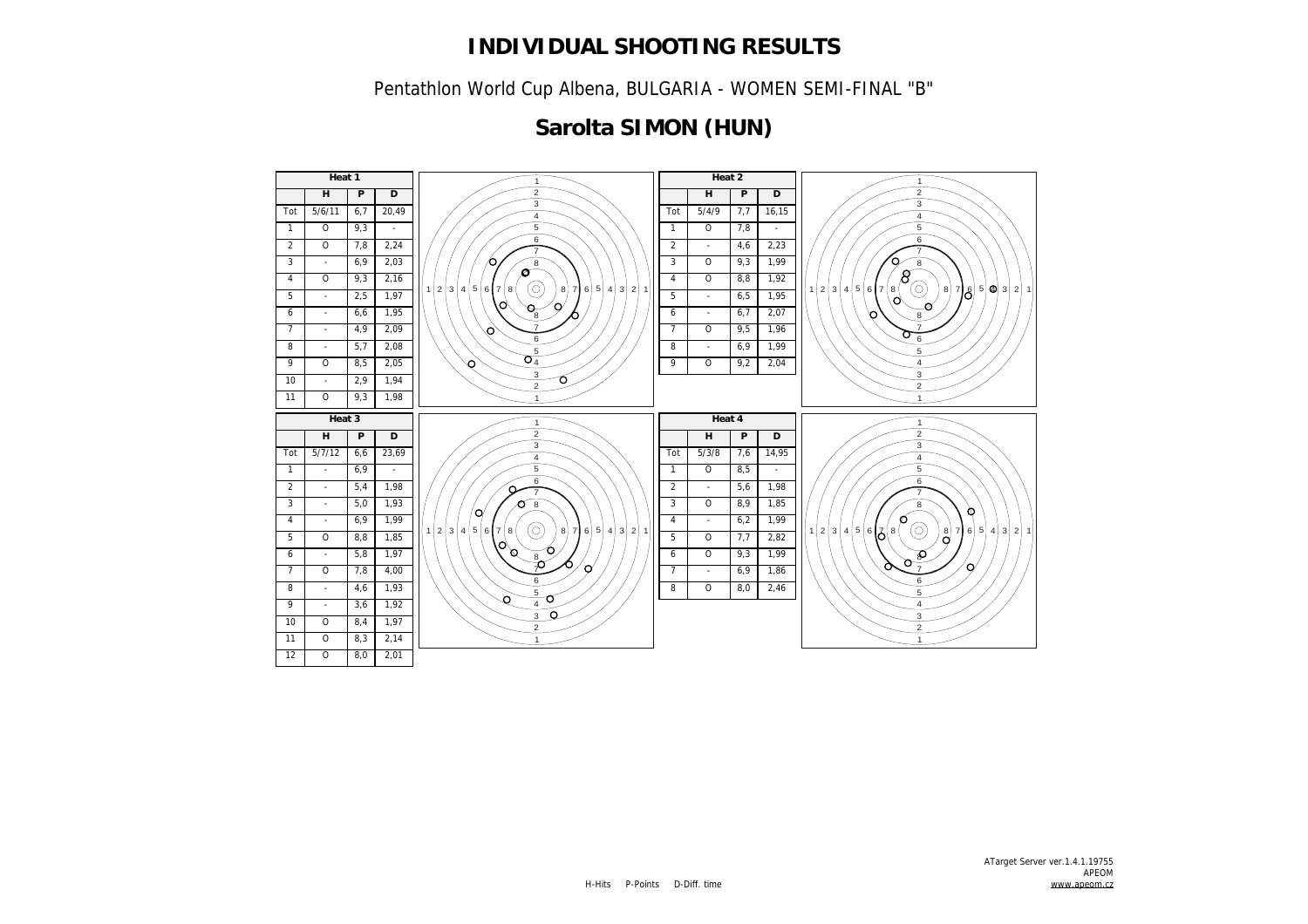Pentathlon World Cup Albena, BULGARIA - WOMEN SEMI-FINAL "B"

# **Sarolta SIMON (HUN)**

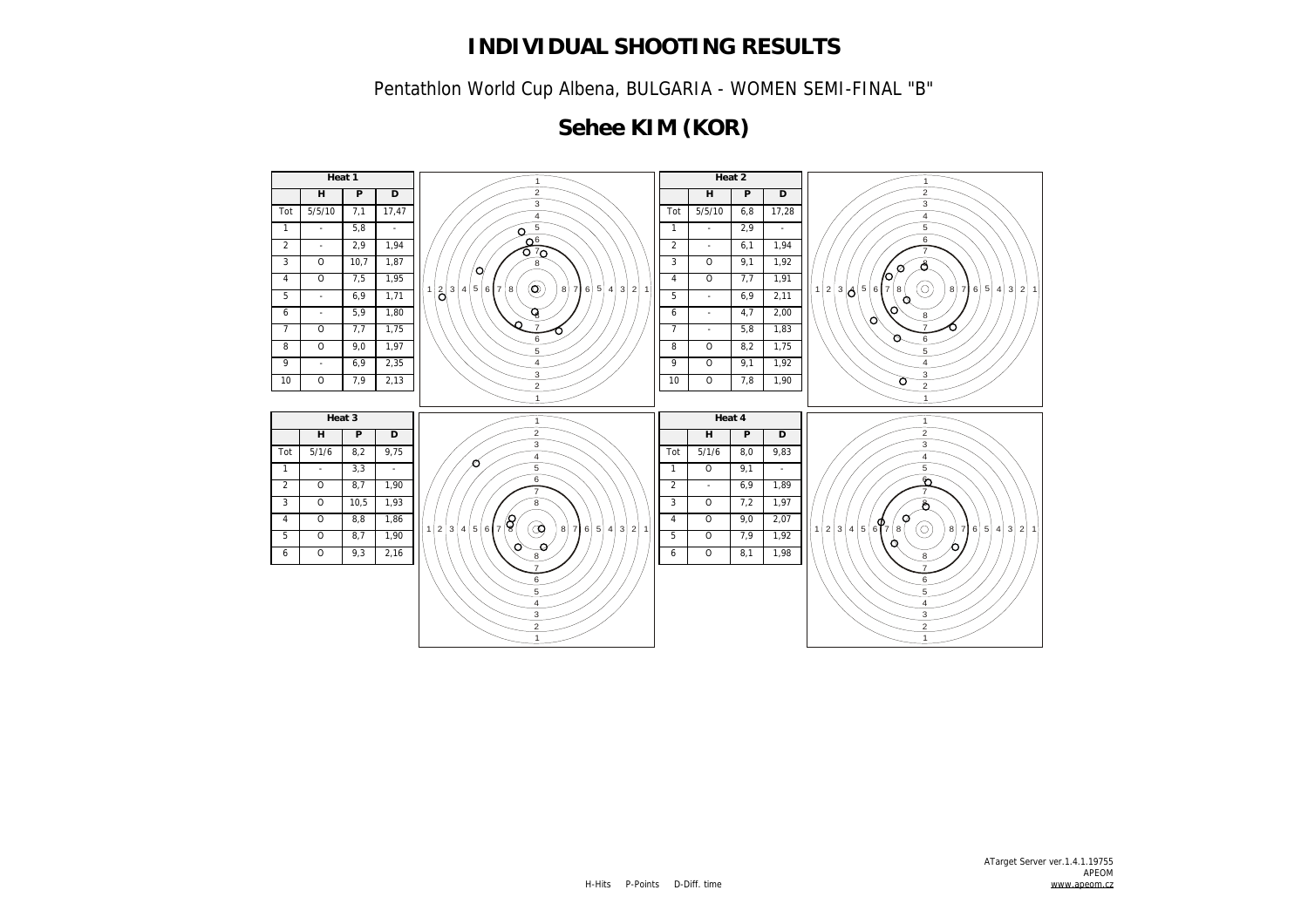Pentathlon World Cup Albena, BULGARIA - WOMEN SEMI-FINAL "B"

# **Sehee KIM (KOR)**

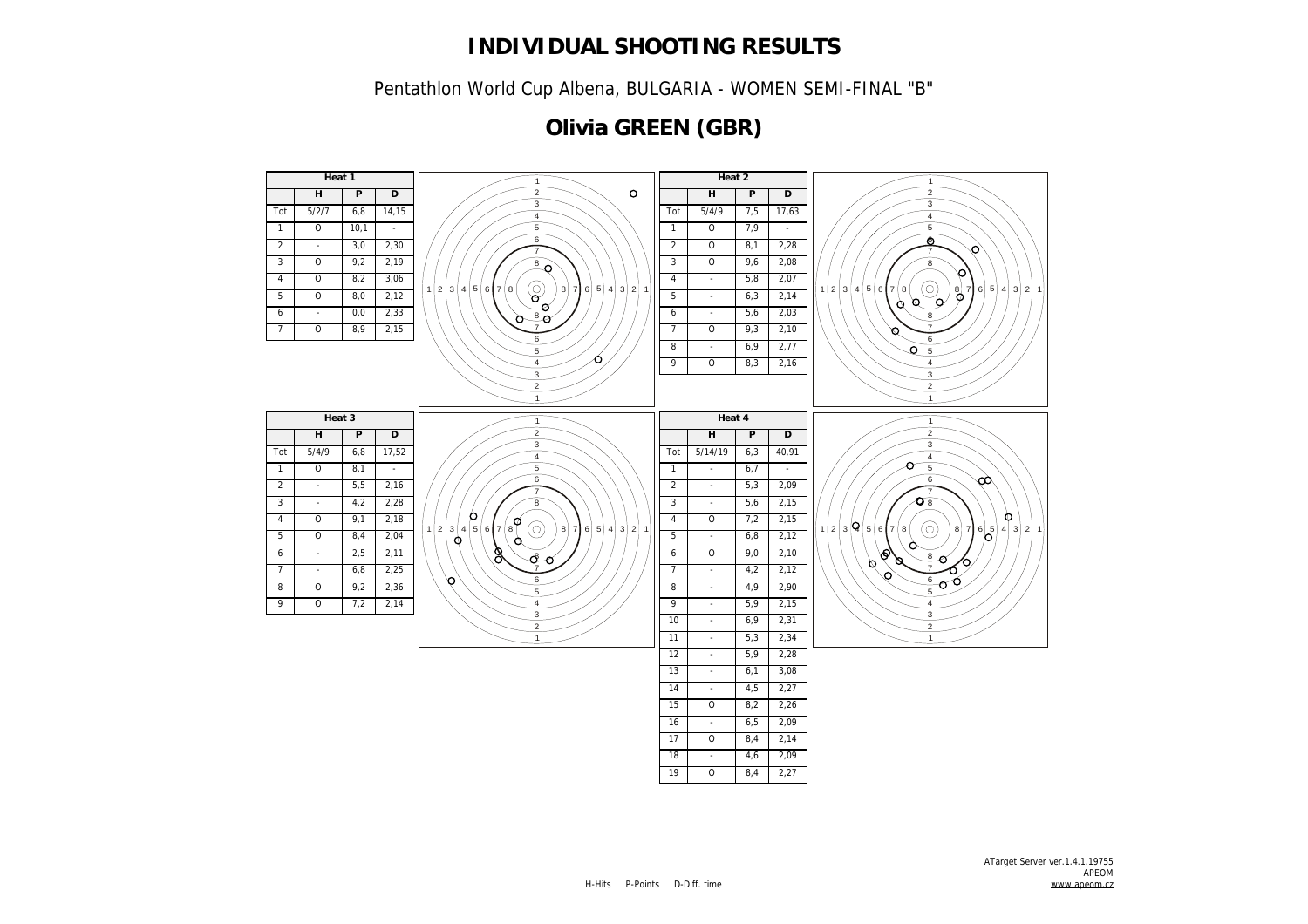Pentathlon World Cup Albena, BULGARIA - WOMEN SEMI-FINAL "B"

# **Olivia GREEN (GBR)**

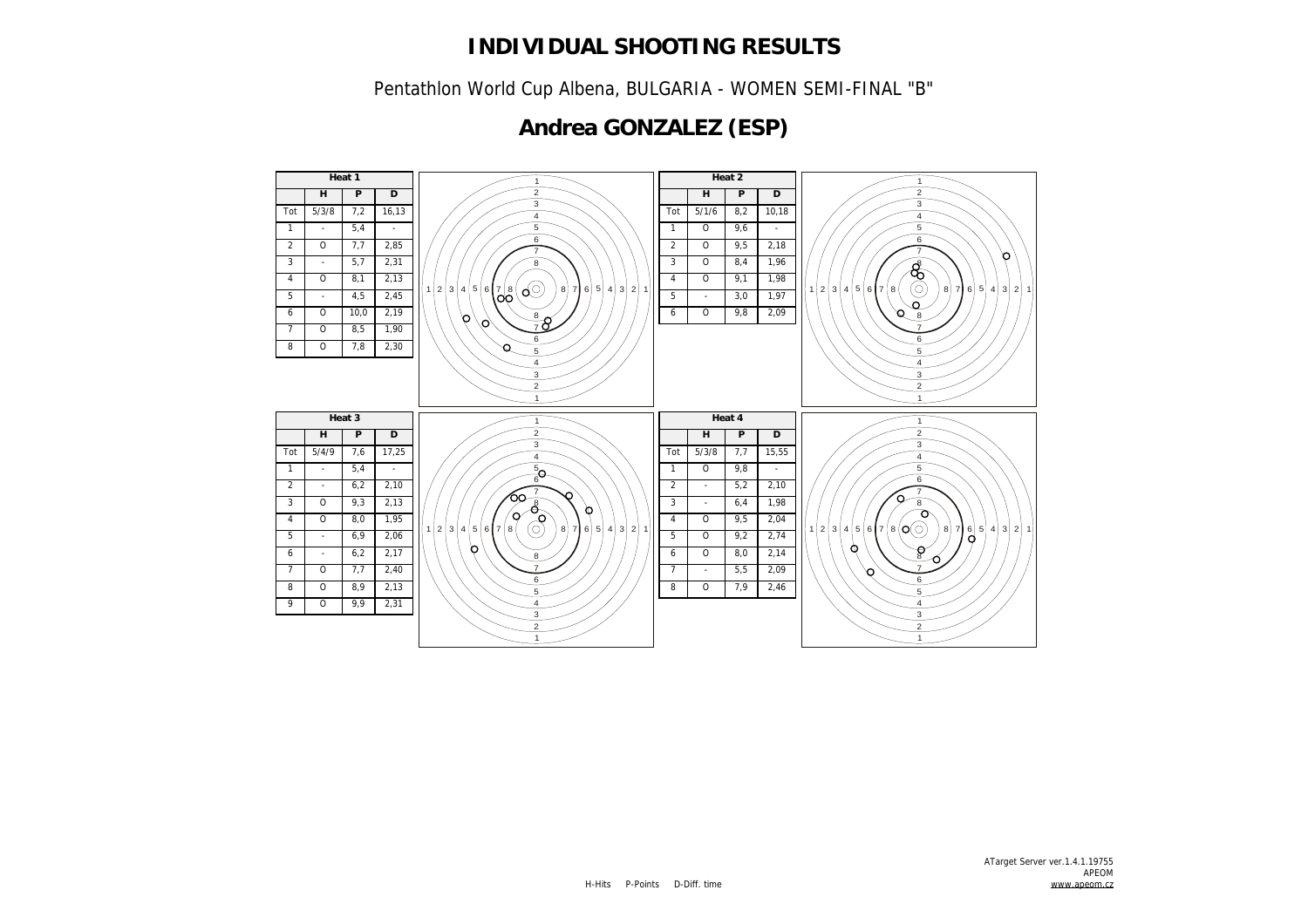Pentathlon World Cup Albena, BULGARIA - WOMEN SEMI-FINAL "B"

# **Andrea GONZALEZ (ESP)**

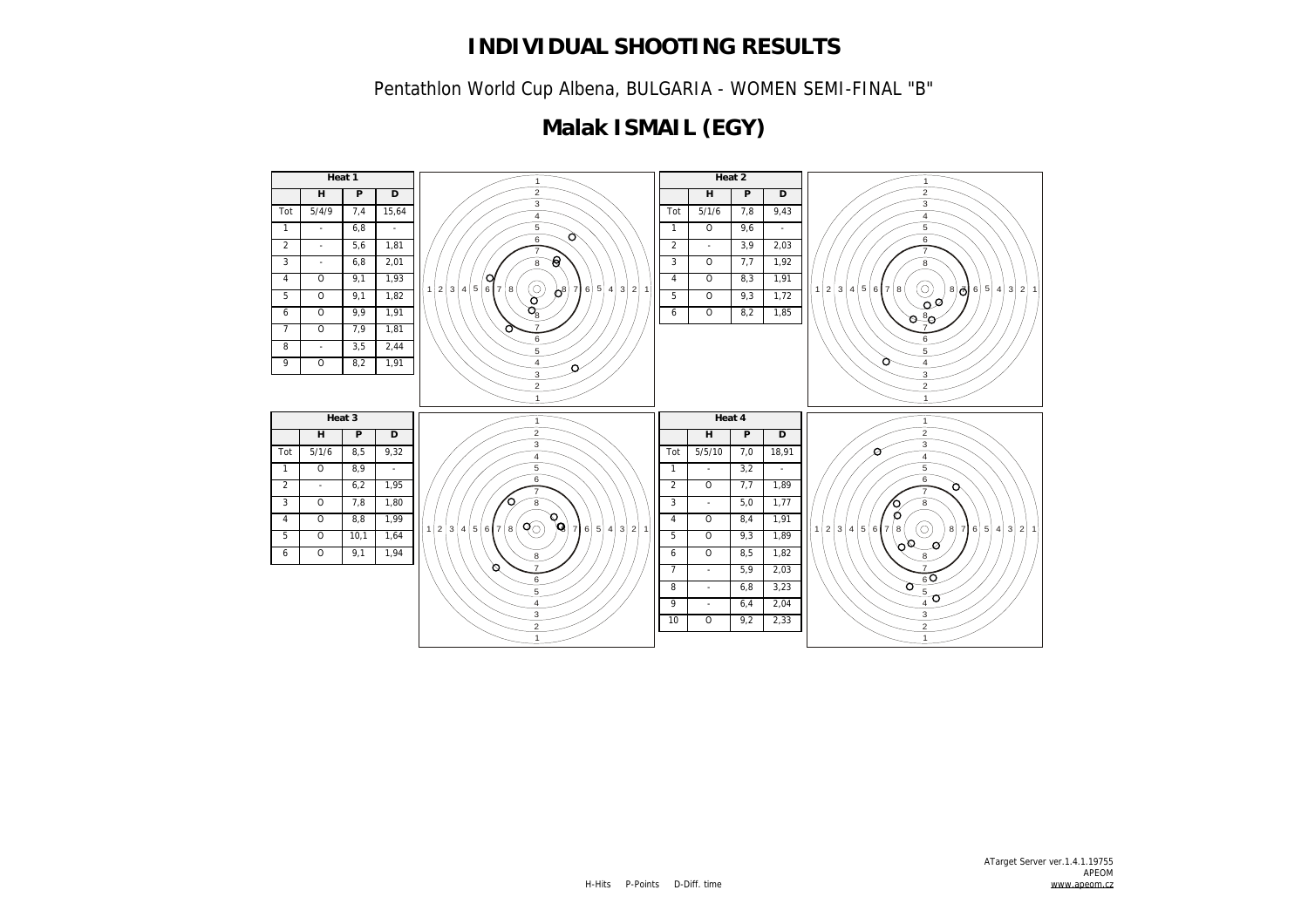Pentathlon World Cup Albena, BULGARIA - WOMEN SEMI-FINAL "B"

# **Malak ISMAIL (EGY)**

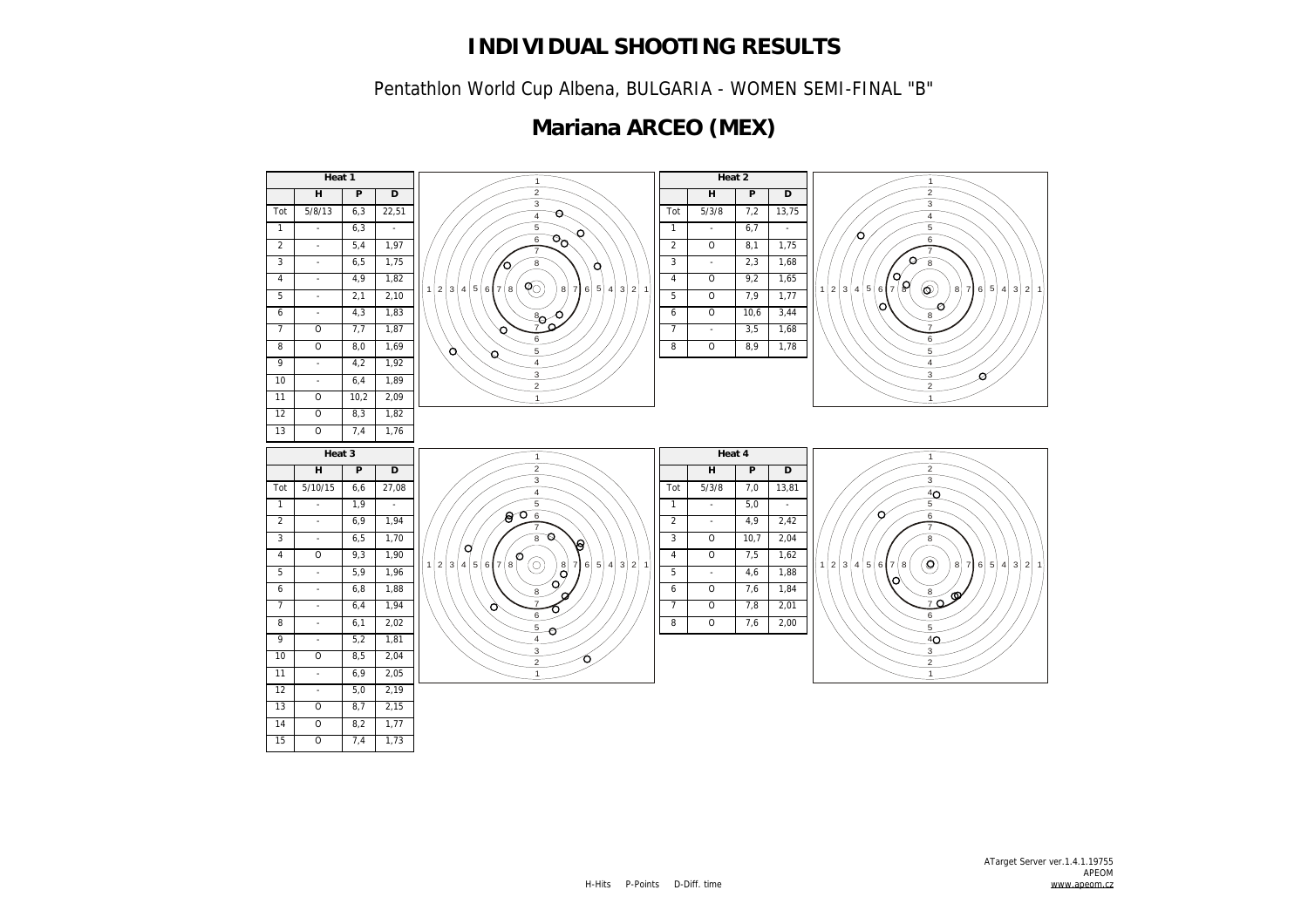Pentathlon World Cup Albena, BULGARIA - WOMEN SEMI-FINAL "B"

# **Mariana ARCEO (MEX)**

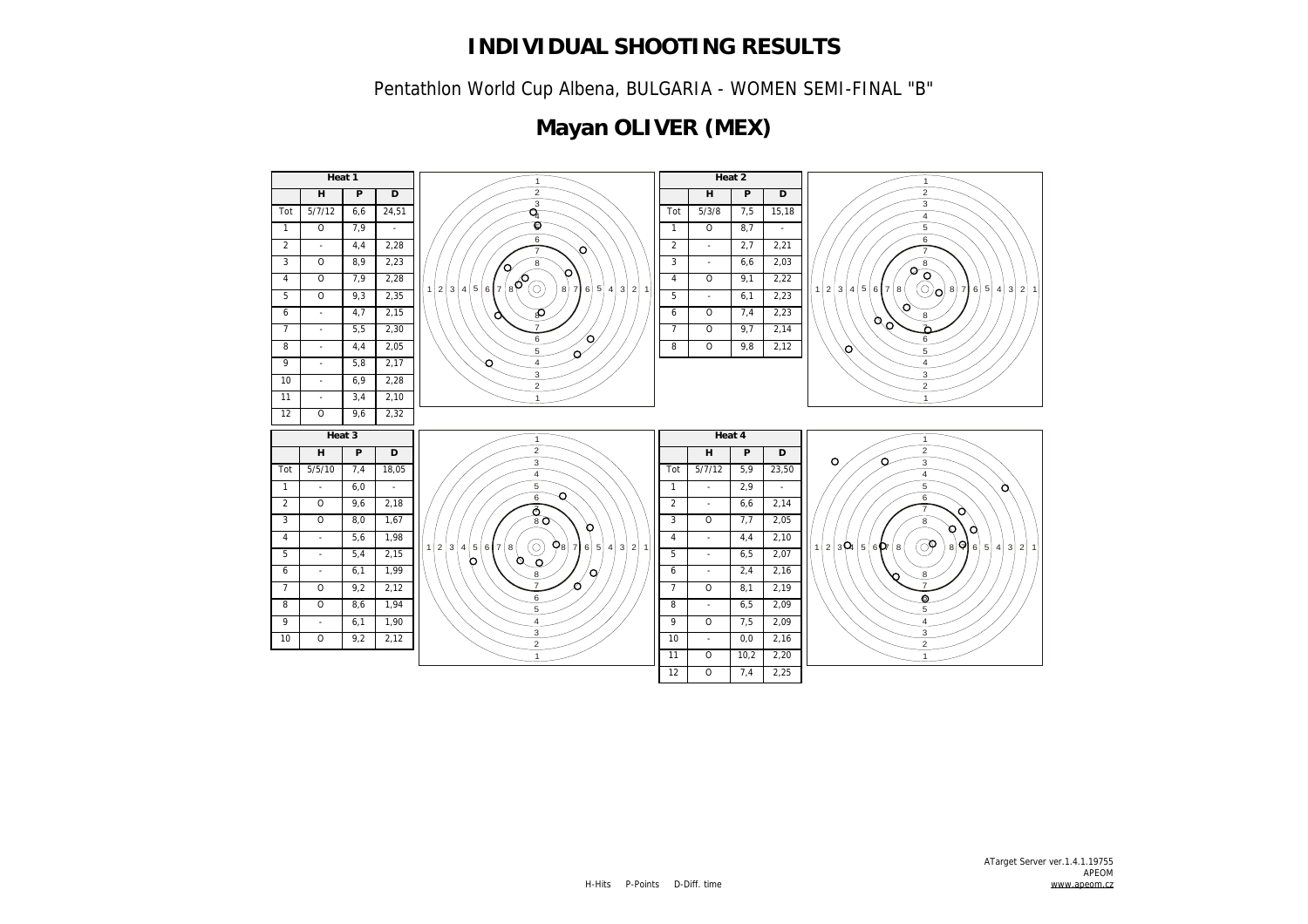Pentathlon World Cup Albena, BULGARIA - WOMEN SEMI-FINAL "B"

# **Mayan OLIVER (MEX)**

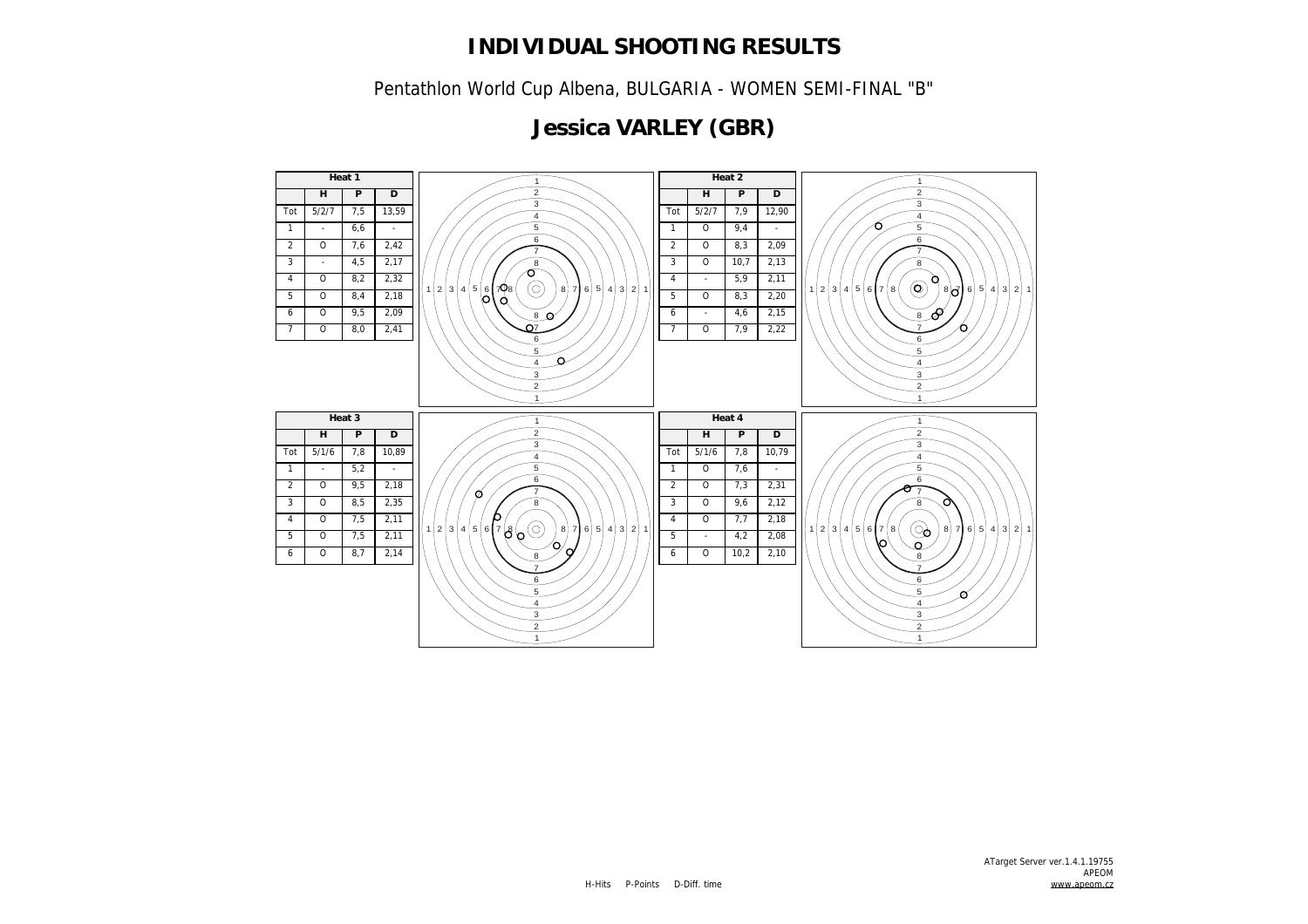Pentathlon World Cup Albena, BULGARIA - WOMEN SEMI-FINAL "B"

# **Jessica VARLEY (GBR)**

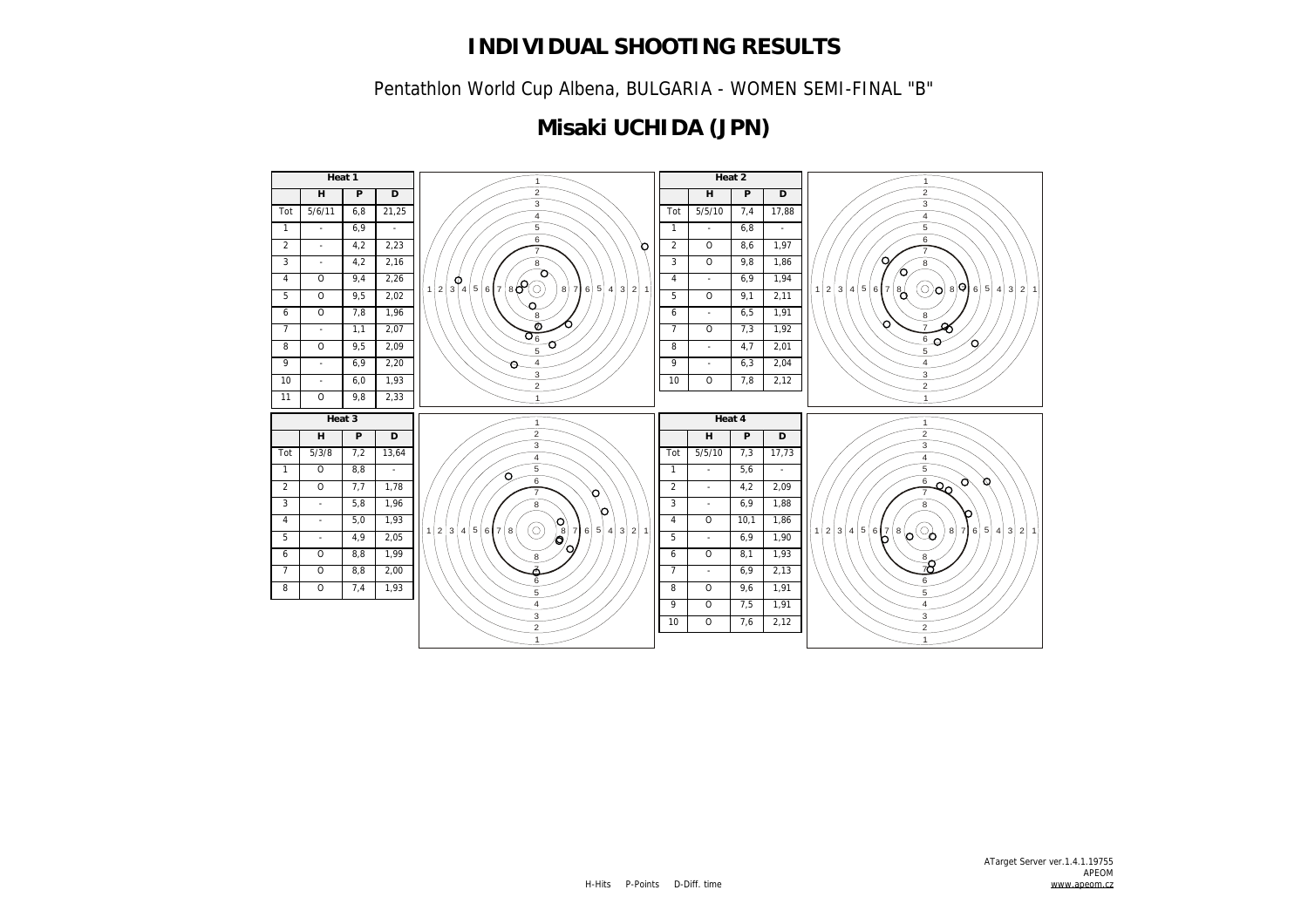Pentathlon World Cup Albena, BULGARIA - WOMEN SEMI-FINAL "B"

# **Misaki UCHIDA (JPN)**

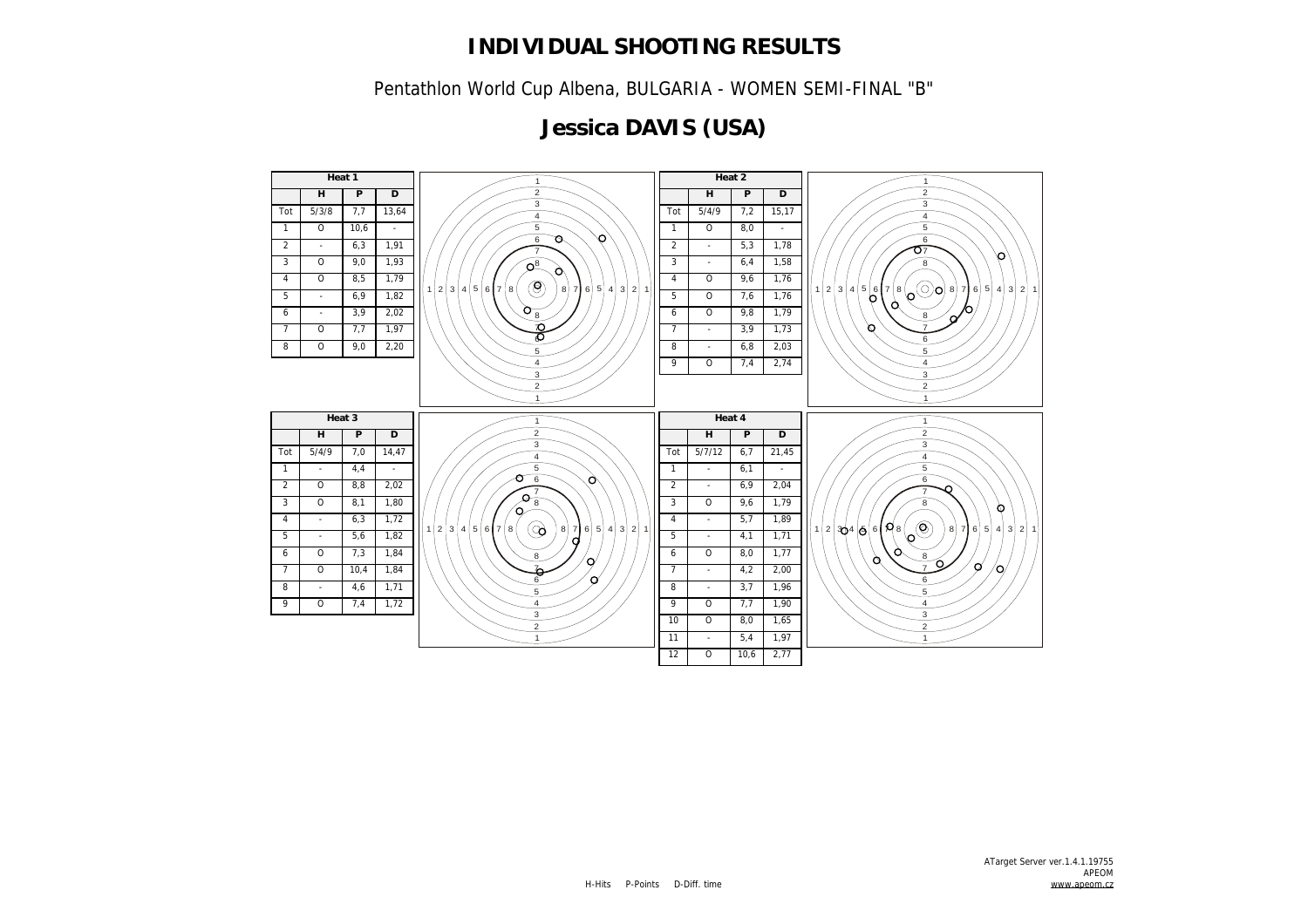Pentathlon World Cup Albena, BULGARIA - WOMEN SEMI-FINAL "B"

# **Jessica DAVIS (USA)**